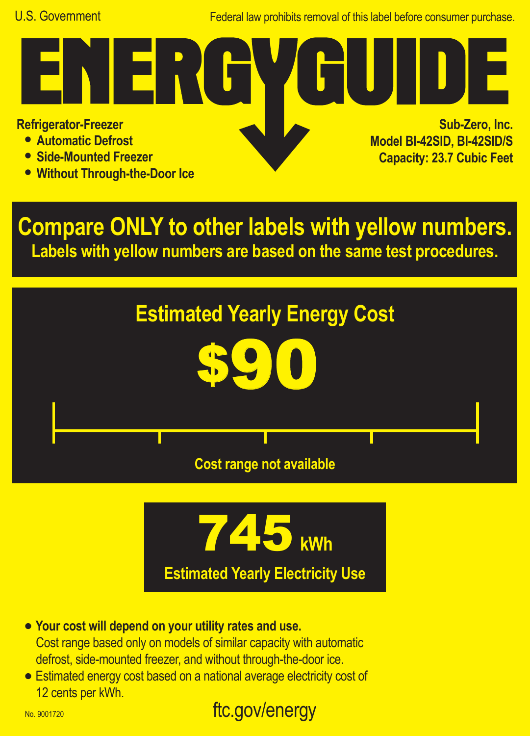Federal law prohibits removal of this label before consumer purchase.

**Refrigerator-Freezer**

- **• Automatic Defrost**
- **• Side-Mounted Freezer**
- **• Without Through-the-Door Ice**

FR.

**Sub-Zero, Inc. Model BI-42SID, BI-42SID/S Capacity: 23.7 Cubic Feet**

**Compare ONLY to other labels with yellow numbers. Labels with yellow numbers are based on the same test procedures.**





- **• Your cost will depend on your utility rates and use.** Cost range based only on models of similar capacity with automatic defrost, side-mounted freezer, and without through-the-door ice.
- **•** Estimated energy cost based on a national average electricity cost of 12 cents per kWh.